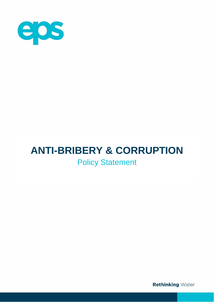

# **ANTI-BRIBERY & CORRUPTION**

# Policy Statement

**Rethinking Water**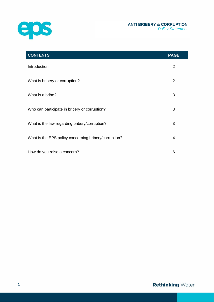



| <b>CONTENTS</b>                                       | <b>PAGE</b>    |
|-------------------------------------------------------|----------------|
| Introduction                                          | $\overline{2}$ |
| What is bribery or corruption?                        | $\overline{2}$ |
| What is a bribe?                                      | 3              |
| Who can participate in bribery or corruption?         | 3              |
| What is the law regarding bribery/corruption?         | 3              |
| What is the EPS policy concerning bribery/corruption? | 4              |
| How do you raise a concern?                           | 6              |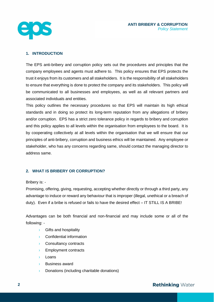

#### **1. INTRODUCTION**

The EPS anti-bribery and corruption policy sets out the procedures and principles that the company employees and agents must adhere to. This policy ensures that EPS protects the trust it enjoys from its customers and all stakeholders. It is the responsibility of all stakeholders to ensure that everything is done to protect the company and its stakeholders. This policy will be communicated to all businesses and employees, as well as all relevant partners and associated individuals and entities.

This policy outlines the necessary procedures so that EPS will maintain its high ethical standards and in doing so protect its long-term reputation from any allegations of bribery and/or corruption. EPS has a strict zero tolerance policy in regards to bribery and corruption and this policy applies to all levels within the organisation from employees to the board. It is by cooperating collectively at all levels within the organisation that we will ensure that our principles of anti-bribery, corruption and business ethics will be maintained. Any employee or stakeholder, who has any concerns regarding same, should contact the managing director to address same.

# **2. WHAT IS BRIBERY OR CORRUPTION?**

#### Bribery is: -

Promising, offering, giving, requesting, accepting whether directly or through a third party, any advantage to induce or reward any behaviour that is improper (illegal, unethical or a breach of duty). Even if a bribe is refused or fails to have the desired effect – IT STILL IS A BRIBE!

Advantages can be both financial and non-financial and may include some or all of the following: -

- › Gifts and hospitality
- › Confidential information
- › Consultancy contracts
- › Employment contracts
- › Loans
- › Business award
- › Donations (including charitable donations)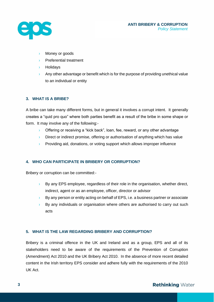

- Money or goods
- Preferential treatment
- › Holidays
- $\rightarrow$  Any other advantage or benefit which is for the purpose of providing unethical value to an individual or entity

# **3. WHAT IS A BRIBE?**

A bribe can take many different forms, but in general it involves a corrupt intent. It generally creates a "quid pro quo" where both parties benefit as a result of the bribe in some shape or form. It may involve any of the following:-

- **I** Offering or receiving a "kick back", loan, fee, reward, or any other advantage
- $\rightarrow$  Direct or indirect promise, offering or authorisation of anything which has value
- $\rightarrow$  Providing aid, donations, or voting support which allows improper influence

# **4. WHO CAN PARTICIPATE IN BRIBERY OR CORRUPTION?**

Bribery or corruption can be committed:-

- › By any EPS employee, regardless of their role in the organisation, whether direct, indirect, agent or as an employee, officer, director or advisor
- $\rightarrow$  By any person or entity acting on behalf of EPS, i.e. a business partner or associate
- $\rightarrow$  By any individuals or organisation where others are authorised to carry out such acts

#### **5. WHAT IS THE LAW REGARDING BRIBERY AND CORRUPTION?**

Bribery is a criminal offence in the UK and Ireland and as a group, EPS and all of its stakeholders need to be aware of the requirements of the Prevention of Corruption (Amendment) Act 2010 and the UK Bribery Act 2010. In the absence of more recent detailed content in the Irish territory EPS consider and adhere fully with the requirements of the 2010 UK Act.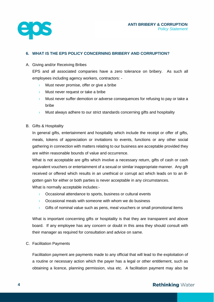

### **6. WHAT IS THE EPS POLICY CONCERNING BRIBERY AND CORRUPTION?**

#### A. Giving and/or Receiving Bribes

EPS and all associated companies have a zero tolerance on bribery. As such all employees including agency workers, contractors: -

- Must never promise, offer or give a bribe
- › Must never request or take a bribe
- Must never suffer demotion or adverse consequences for refusing to pay or take a bribe
- $\rightarrow$  Must always adhere to our strict standards concerning gifts and hospitality
- B. Gifts & Hospitality

In general gifts, entertainment and hospitality which include the receipt or offer of gifts, meals, tokens of appreciation or invitations to events, functions or any other social gathering in connection with matters relating to our business are acceptable provided they are within reasonable bounds of value and occurrence.

What is not acceptable are gifts which involve a necessary return, gifts of cash or cash equivalent vouchers or entertainment of a sexual or similar inappropriate manner. Any gift received or offered which results in an unethical or corrupt act which leads on to an illgotten gain for either or both parties is never acceptable in any circumstances.

What is normally acceptable includes:-

- › Occasional attendance to sports, business or cultural events
- › Occasional meals with someone with whom we do business
- $\rightarrow$  Gifts of nominal value such as pens, meal vouchers or small promotional items

What is important concerning gifts or hospitality is that they are transparent and above board. If any employee has any concern or doubt in this area they should consult with their manager as required for consultation and advice on same.

C. Facilitation Payments

Facilitation payment are payments made to any official that will lead to the exploitation of a routine or necessary action which the payer has a legal or other entitlement, such as obtaining a licence, planning permission, visa etc. A facilitation payment may also be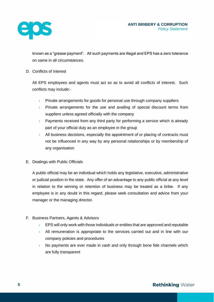

known as a "grease payment". All such payments are illegal and EPS has a zero tolerance on same in all circumstances.

#### D. Conflicts of Interest

All EPS employees and agents must act so as to avoid all conflicts of interest. Such conflicts may include:-

- $\rightarrow$  Private arrangements for goods for personal use through company suppliers
- $\rightarrow$  Private arrangements for the use and availing of special discount terms from suppliers unless agreed officially with the company
- $\rightarrow$  Payments received from any third party for performing a service which is already part of your official duty as an employee in the group
- $\rightarrow$  All business decisions, especially the appointment of or placing of contracts must not be influenced in any way by any personal relationships or by membership of any organisation
- E. Dealings with Public Officials

A public official may be an individual which holds any legislative, executive, administrative or judicial position in the state. Any offer of an advantage to any public official at any level in relation to the winning or retention of business may be treated as a bribe. If any employee is in any doubt in this regard, please seek consultation and advice from your manager or the managing director.

# F. Business Partners, Agents & Advisors

- EPS will only work with those individuals or entities that are approved and reputable
- $\rightarrow$  All remuneration is appropriate to the services carried out and in line with our company policies and procedures
- No payments are ever made in cash and only through bone fide channels which are fully transparent